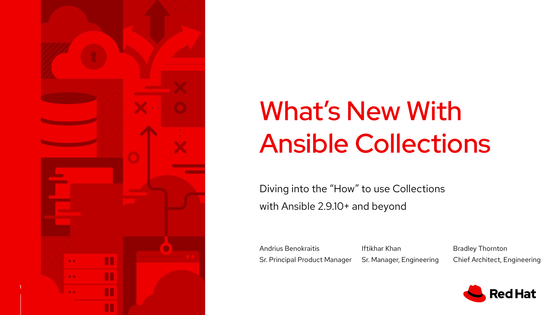

# What's New With Ansible Collections

Diving into the "How" to use Collections with Ansible 2.9.10+ and beyond

Andrius Benokraitis Sr. Principal Product Manager Iftikhar Khan Sr. Manager, Engineering

Bradley Thornton Chief Architect, Engineering

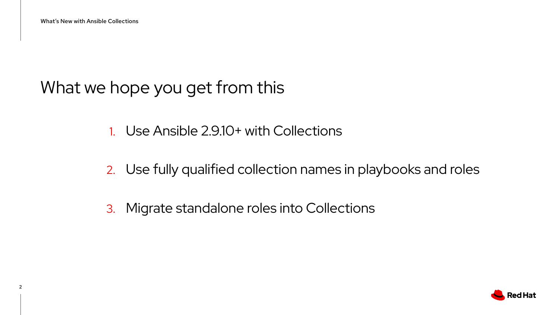What we hope you get from this

- 1. Use Ansible 2.9.10+ with Collections
- 2. Use fully qualified collection names in playbooks and roles
- 3. Migrate standalone roles into Collections

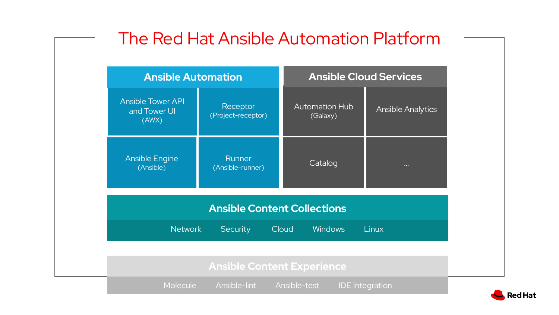| <b>Ansible Automation</b>                         |                                |                                   | <b>Ansible Cloud Services</b> |  |
|---------------------------------------------------|--------------------------------|-----------------------------------|-------------------------------|--|
| <b>Ansible Tower API</b><br>and Tower UI<br>(AWX) | Receptor<br>(Project-receptor) | <b>Automation Hub</b><br>(Galaxy) | <b>Ansible Analytics</b>      |  |
| <b>Ansible Engine</b><br>(Ansible)                | Runner<br>(Ansible-runner)     | Catalog                           | $\bullet\bullet\bullet$       |  |
| <b>Ansible Content Collections</b>                |                                |                                   |                               |  |
| <b>Network</b>                                    | <b>Security</b>                | <b>Windows</b><br>Cloud           | <b>Linux</b>                  |  |

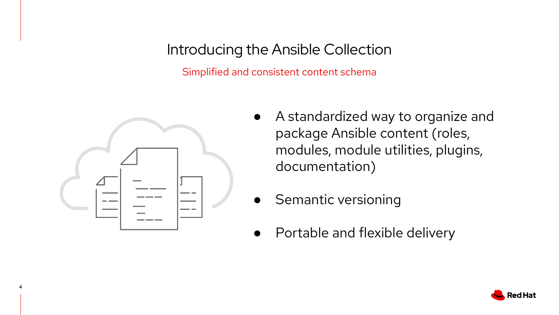#### Introducing the Ansible Collection

Simplified and consistent content schema



4

- A standardized way to organize and package Ansible content (roles, modules, module utilities, plugins, documentation)
- Semantic versioning
- Portable and flexible delivery

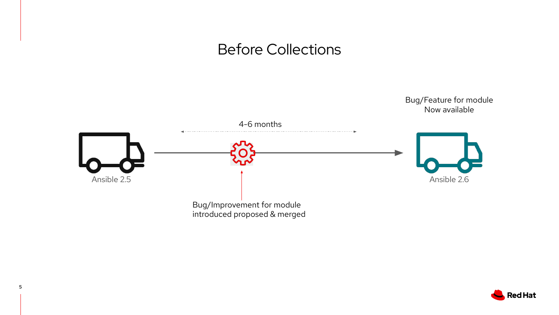#### Before Collections



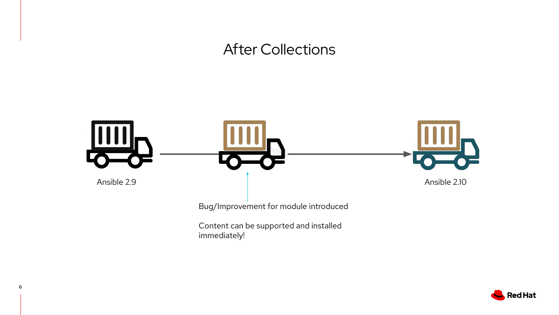#### After Collections



immediately!

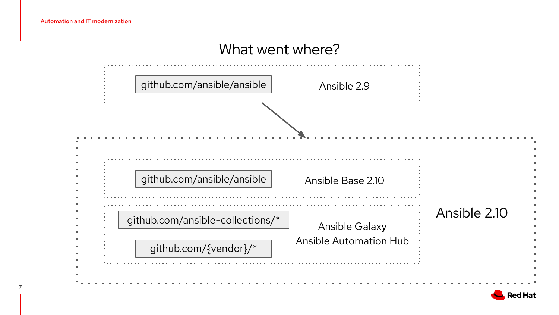#### What went where?

| github.com/ansible/ansible | Ansible 2.9                                               |  |
|----------------------------|-----------------------------------------------------------|--|
|                            |                                                           |  |
|                            |                                                           |  |
| github.com/ansible/ansible | Ansible Base 2.10                                         |  |
|                            | github.com/ansible-collections/*<br><b>Ansible Galaxy</b> |  |
|                            | <b>Ansible Automation Hub</b>                             |  |

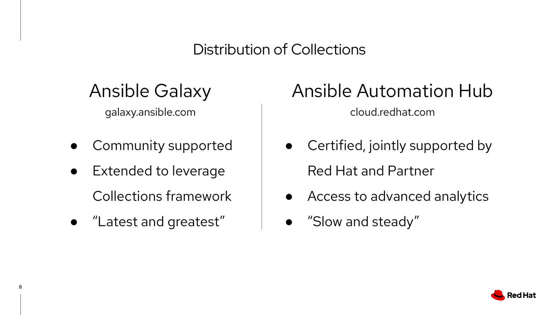## Distribution of Collections

# Ansible Galaxy

galaxy.ansible.com

- Community supported
- Extended to leverage Collections framework
- "Latest and greatest"

8

# Ansible Automation Hub

cloud.redhat.com

- Certified, jointly supported by Red Hat and Partner
- Access to advanced analytics
- "Slow and steady"

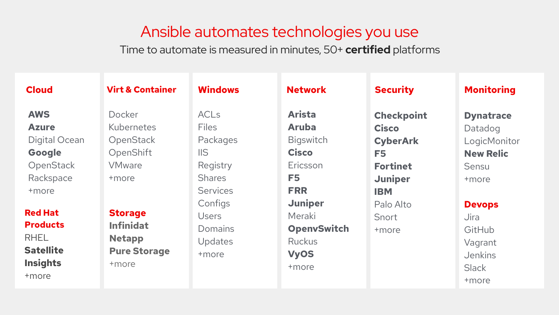#### Ansible automates technologies you use

Time to automate is measured in minutes, 50+ **certified** platforms

| <b>Cloud</b>     | <b>Virt &amp; Container</b> | <b>Windows</b>          | <b>Network</b>     | <b>Security</b>   | <b>Monitoring</b> |
|------------------|-----------------------------|-------------------------|--------------------|-------------------|-------------------|
| <b>AWS</b>       | Docker                      | <b>ACLs</b>             | <b>Arista</b>      | <b>Checkpoint</b> | <b>Dynatrace</b>  |
| <b>Azure</b>     | <b>Kubernetes</b>           | <b>Files</b>            | <b>Aruba</b>       | <b>Cisco</b>      | Datadog           |
| Digital Ocean    | OpenStack                   | Packages                | <b>Bigswitch</b>   | <b>CyberArk</b>   | LogicMonitor      |
| Google           | OpenShift                   | $\overline{\text{IIS}}$ | <b>Cisco</b>       | F <sub>5</sub>    | <b>New Relic</b>  |
| OpenStack        | <b>VMware</b>               | Registry                | Ericsson           | <b>Fortinet</b>   | Sensu             |
| Rackspace        | +more                       | <b>Shares</b>           | F <sub>5</sub>     | <b>Juniper</b>    | +more             |
| +more            |                             | <b>Services</b>         | <b>FRR</b>         | <b>IBM</b>        |                   |
|                  |                             | Configs                 | <b>Juniper</b>     | Palo Alto         | <b>Devops</b>     |
| <b>Red Hat</b>   | <b>Storage</b>              | <b>Users</b>            | Meraki             | Snort             | <b>Jira</b>       |
| <b>Products</b>  | <b>Infinidat</b>            | Domains                 | <b>OpenvSwitch</b> | +more             | GitHub            |
| <b>RHEL</b>      | <b>Netapp</b>               | Updates                 | <b>Ruckus</b>      |                   | Vagrant           |
| <b>Satellite</b> | <b>Pure Storage</b>         | +more                   | <b>VyOS</b>        |                   | Jenkins           |
| <b>Insights</b>  | +more                       |                         | +more              |                   | <b>Slack</b>      |
| +more            |                             |                         |                    |                   | +more             |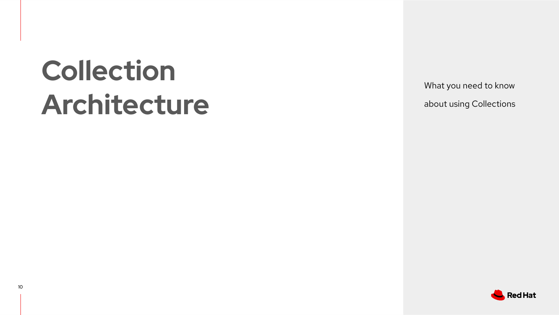# **Collection Architecture**

What you need to know about using Collections

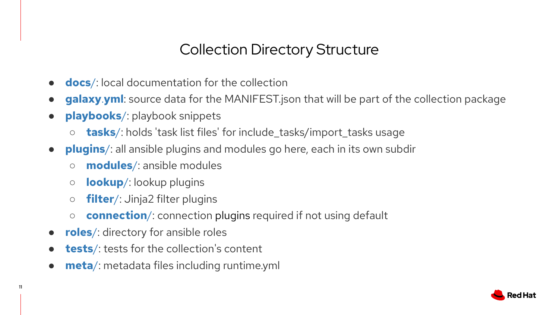## Collection Directory Structure

- **e docs**/: local documentation for the collection
- **galaxy**.**yml**: source data for the MANIFEST.json that will be part of the collection package
- **playbooks**/: playbook snippets
	- **tasks**/: holds 'task list files' for include\_tasks/import\_tasks usage
- **plugins**/: all ansible plugins and modules go here, each in its own subdir
	- **modules**/: ansible modules
	- **lookup**/: lookup plugins
	- **filter**/: Jinja2 filter plugins
	- **connection**/: connection plugins required if not using default
- **roles**/: directory for ansible roles

11

- **tests**/: tests for the collection's content
- **meta**/: metadata files including runtime.yml

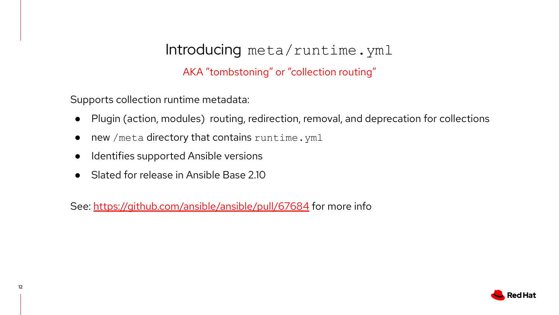#### Introducing meta/runtime.yml

AKA "tombstoning" or "collection routing"

Supports collection runtime metadata:

- Plugin (action, modules) routing, redirection, removal, and deprecation for collections
- new /meta directory that contains runtime.yml
- Identifies supported Ansible versions
- Slated for release in Ansible Base 2.10

See:<https://github.com/ansible/ansible/pull/67684> for more info

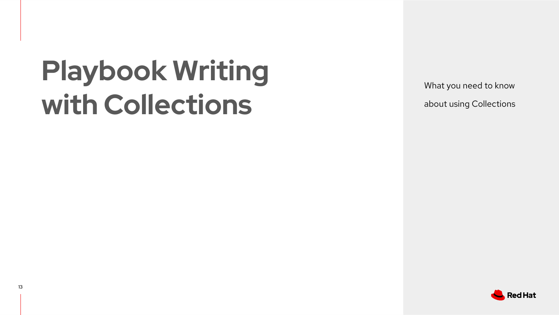# **Playbook Writing with Collections**

What you need to know about using Collections

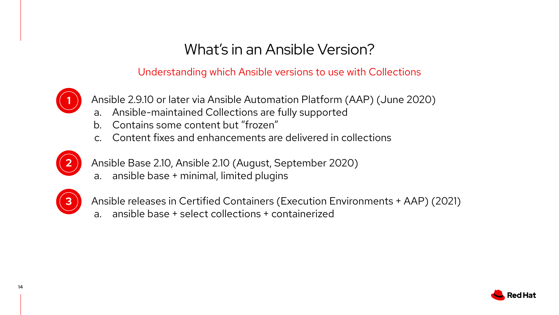#### What's in an Ansible Version?

Understanding which Ansible versions to use with Collections



1. Ansible 2.9.10 or later via Ansible Automation Platform (AAP) (June 2020)

- a. Ansible-maintained Collections are fully supported
- b. Contains some content but "frozen"
- c. Content fixes and enhancements are delivered in collections



2. Ansible Base 2.10, Ansible 2.10 (August, September 2020)

a. ansible base + minimal, limited plugins



3. Ansible releases in Certified Containers (Execution Environments + AAP) (2021)

a. ansible base + select collections + containerized

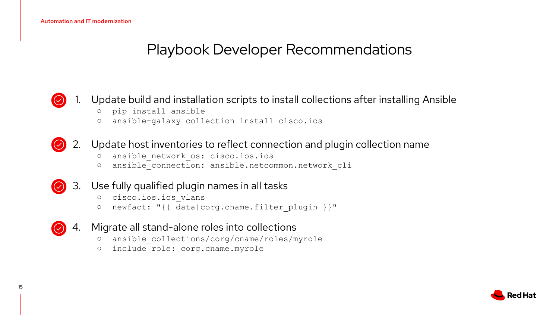## Playbook Developer Recommendations

#### Update build and installation scripts to install collections after installing Ansible  $(\odot)$

- pip install ansible
- ansible-galaxy collection install cisco.ios

#### 2. Update host inventories to reflect connection and plugin collection name  $\odot$

- ansible\_network\_os: cisco.ios.ios
- ansible\_connection: ansible.netcommon.network\_cli
- 3. Use fully qualified plugin names in all tasks  $\odot$ 
	- cisco.ios.ios\_vlans
	- newfact: "{{ data|corg.cname.filter\_plugin }}"
- 4. Migrate all stand-alone roles into collections  $(\circledcirc)$ 
	- ansible\_collections/corg/cname/roles/myrole
	- o include role: corg.cname.myrole

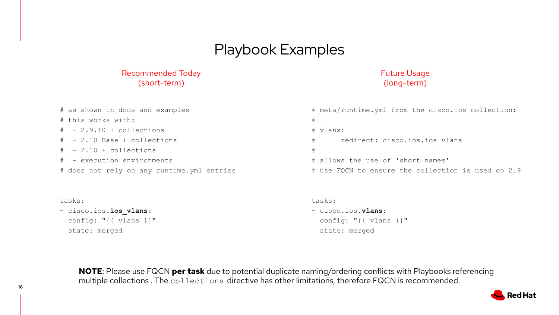#### Playbook Examples

#### Recommended Today (short-term)

#### Future Usage (long-term)

| # as shown in docs and examples            | # meta/runtime.yml from the cisco.ios collection:  |
|--------------------------------------------|----------------------------------------------------|
| # this works with:                         |                                                    |
| $# - 2.9.10 + collections$                 | # vlans:                                           |
| $# - 2.10$ Base + collections              | redirect: cisco.ios.ios vlans<br>#                 |
| $# - 2.10 + collections$                   |                                                    |
| # - execution environments                 | # allows the use of 'short names'                  |
| # does not rely on any runtime.yml entries | # use FQCN to ensure the collection is used on 2.9 |

#### tasks:

- cisco.ios.**ios\_vlans**: config: "{{ vlans }}" state: merged

#### tasks:

- cisco.ios.**vlans**: config: "{{ vlans }}" state: merged

**NOTE**: Please use FQCN **per task** due to potential duplicate naming/ordering conflicts with Playbooks referencing multiple collections . The collections directive has other limitations, therefore FQCN is recommended.

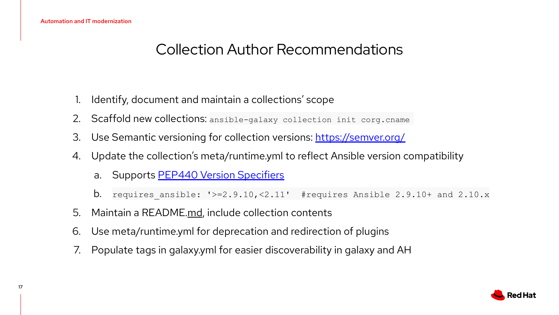## Collection Author Recommendations

- Identify, document and maintain a collections' scope
- 2. Scaffold new collections: ansible-galaxy collection init corg.cname
- 3. Use Semantic versioning for collection versions: <https://semver.org/>
- 4. Update the collection's meta/runtime.yml to reflect Ansible version compatibility
	- a. Supports [PEP440 Version Specifiers](https://www.python.org/dev/peps/pep-0440/#version-specifiers)
	- **b.** requires ansible: '>=2.9.10,<2.11' #requires Ansible 2.9.10+ and 2.10.x
- 5. Maintain a README.md, include collection contents
- 6. Use meta/runtime.yml for deprecation and redirection of plugins
- 7. Populate tags in galaxy.yml for easier discoverability in galaxy and AH

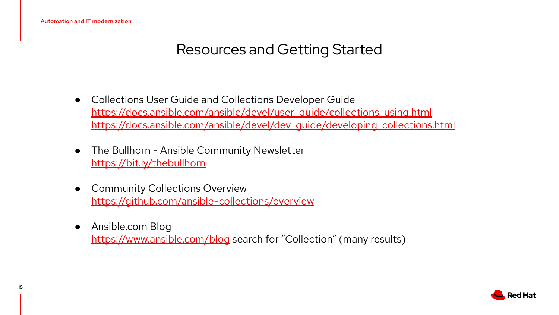## Resources and Getting Started

- Collections User Guide and Collections Developer Guide https://docs.ansible.com/ansible/devel/user\_quide/collections\_using.html [https://docs.ansible.com/ansible/devel/dev\\_guide/developing\\_collections.html](https://docs.ansible.com/ansible/devel/dev_guide/developing_collections.html)
- The Bullhorn Ansible Community Newsletter <https://bit.ly/thebullhorn>
- Community Collections Overview <https://github.com/ansible-collections/overview>
- Ansible.com Blog <https://www.ansible.com/blog>search for "Collection" (many results)